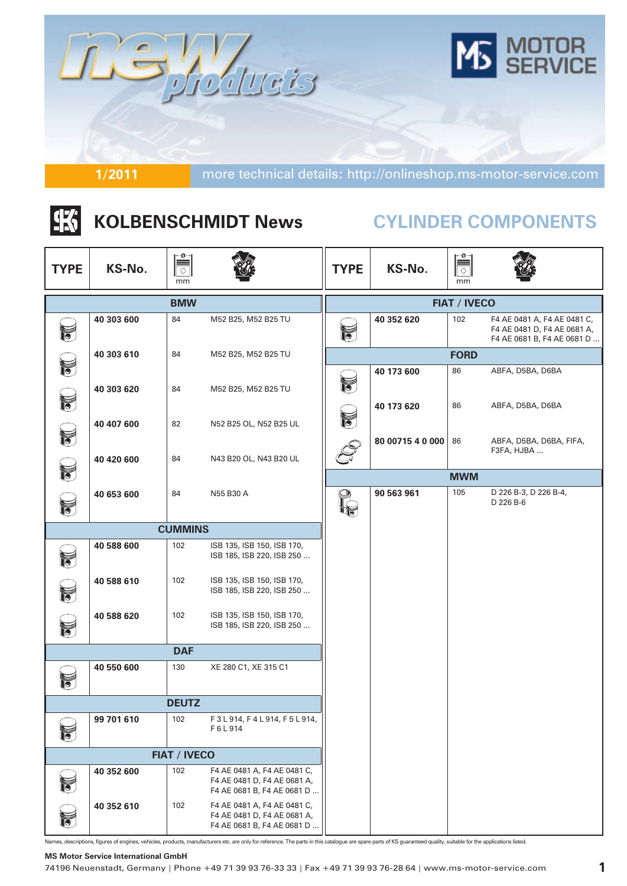

## |张 **KOLBENSCHMIDT News**

# **CYLINDER COMPONENTS**

| <b>TYPE</b>              | KS-No.     | $\circ$<br>mm       |                                                                                          | <b>TYPE</b> | KS-No.           | $\circ$<br>mm       |                                                                                          |
|--------------------------|------------|---------------------|------------------------------------------------------------------------------------------|-------------|------------------|---------------------|------------------------------------------------------------------------------------------|
|                          |            | <b>BMW</b>          |                                                                                          |             |                  | <b>FIAT / IVECO</b> |                                                                                          |
| $\tilde{a}$              | 40 303 600 | 84                  | M52 B25, M52 B25 TU                                                                      | F           | 40 352 620       | 102                 | F4 AE 0481 A, F4 AE 0481 C,<br>F4 AE 0481 D, F4 AE 0681 A,<br>F4 AE 0681 B, F4 AE 0681 D |
|                          | 40 303 610 | 84                  | M52 B25, M52 B25 TU                                                                      |             |                  | <b>FORD</b>         |                                                                                          |
| F                        | 40 303 620 | 84                  | M52 B25, M52 B25 TU                                                                      | F           | 40 173 600       | 86                  | ABFA, D5BA, D6BA                                                                         |
| $\mathbb{N}$             | 40 407 600 | 82                  | N52 B25 OL, N52 B25 UL                                                                   | F           | 40 173 620       | 86                  | ABFA, D5BA, D6BA                                                                         |
| $\tilde{\vec{b}}$        | 40 420 600 | 84                  | N43 B20 OL, N43 B20 UL                                                                   |             | 80 00715 4 0 000 | 86                  | ABFA, D5BA, D6BA, FIFA,<br>F3FA, HJBA                                                    |
| $\tilde{\mathbf{v}}$     |            |                     |                                                                                          |             |                  | <b>MWM</b>          |                                                                                          |
| $\breve{\mathbf{v}}$     | 40 653 600 | 84                  | N55 B30 A                                                                                |             | 90 563 961       | 105                 | D 226 B-3, D 226 B-4,<br>D 226 B-6                                                       |
|                          |            | <b>CUMMINS</b>      |                                                                                          |             |                  |                     |                                                                                          |
| $\tilde{b}$              | 40 588 600 | 102                 | ISB 135, ISB 150, ISB 170,<br>ISB 185, ISB 220, ISB 250                                  |             |                  |                     |                                                                                          |
| f                        | 40 588 610 | 102                 | ISB 135, ISB 150, ISB 170,<br>ISB 185, ISB 220, ISB 250                                  |             |                  |                     |                                                                                          |
| 12                       | 40 588 620 | 102                 | ISB 135, ISB 150, ISB 170,<br>ISB 185, ISB 220, ISB 250                                  |             |                  |                     |                                                                                          |
|                          |            | <b>DAF</b>          |                                                                                          |             |                  |                     |                                                                                          |
| $\widetilde{\mathbf{5}}$ | 40 550 600 | 130                 | XE 280 C1, XE 315 C1                                                                     |             |                  |                     |                                                                                          |
|                          |            | <b>DEUTZ</b>        |                                                                                          |             |                  |                     |                                                                                          |
|                          | 99 701 610 | 102                 | F3L914, F4L914, F5L914,<br>F6L914                                                        |             |                  |                     |                                                                                          |
|                          |            | <b>FIAT / IVECO</b> |                                                                                          |             |                  |                     |                                                                                          |
| $\tilde{b}$              | 40 352 600 | 102                 | F4 AE 0481 A, F4 AE 0481 C,<br>F4 AE 0481 D, F4 AE 0681 A,<br>F4 AE 0681 B, F4 AE 0681 D |             |                  |                     |                                                                                          |
| $\blacktriangledown$     | 40 352 610 | 102                 | F4 AE 0481 A, F4 AE 0481 C,<br>F4 AE 0481 D, F4 AE 0681 A,<br>F4 AE 0681 B, F4 AE 0681 D |             |                  |                     |                                                                                          |

Names, descriptions, figures of engines, vehicles, products, manufacturers etc. are only for reference. The parts in this catalogue are spare parts of KS guaranteed quality, suitable for the applications listed.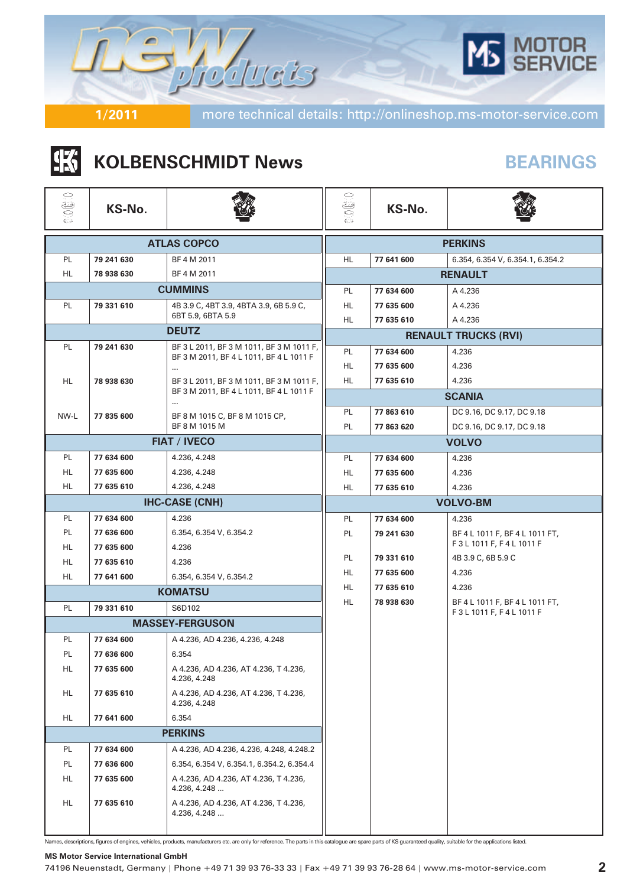

**KS-No.**

## **BEARINGS**

|                |        | <b>KOLBENSCHMIDT News</b> |  |
|----------------|--------|---------------------------|--|
| فقا<br>S<br>武功 | KS-No. |                           |  |
|                |        | <b>ATLAS COPCO</b>        |  |

|           |            | <b>ATLAS COPCO</b>                                                                  |          |                          | <b>PERKINS</b>                          |  |  |
|-----------|------------|-------------------------------------------------------------------------------------|----------|--------------------------|-----------------------------------------|--|--|
| PL        | 79 241 630 | BF 4 M 2011                                                                         | HL       | 77 641 600               | 6.354, 6.354 V, 6.354.1, 6.354.2        |  |  |
| HL.       | 78 938 630 | BF 4 M 2011                                                                         |          |                          | <b>RENAULT</b>                          |  |  |
|           |            | <b>CUMMINS</b>                                                                      | PL       | 77 634 600               | A 4.236                                 |  |  |
| PL        | 79 331 610 | 4B 3.9 C, 4BT 3.9, 4BTA 3.9, 6B 5.9 C,                                              | HL       | 77 635 600               | A 4.236                                 |  |  |
|           |            | 6BT 5.9, 6BTA 5.9                                                                   | HL       | 77 635 610               | A 4.236                                 |  |  |
|           |            | <b>DEUTZ</b>                                                                        |          |                          | <b>RENAULT TRUCKS (RVI)</b>             |  |  |
| PL.       | 79 241 630 | BF 3 L 2011, BF 3 M 1011, BF 3 M 1011 F,<br>BF 3 M 2011, BF 4 L 1011, BF 4 L 1011 F | PL.      | 77 634 600               | 4.236                                   |  |  |
|           |            | $\cdots$                                                                            | HL       | 77 635 600               | 4.236                                   |  |  |
| HL.       | 78 938 630 | BF 3 L 2011, BF 3 M 1011, BF 3 M 1011 F,                                            | HL       | 77 635 610               | 4.236                                   |  |  |
|           |            | BF 3 M 2011, BF 4 L 1011, BF 4 L 1011 F<br>$\cdots$                                 |          |                          | <b>SCANIA</b>                           |  |  |
| NW-L      | 77 835 600 | BF 8 M 1015 C, BF 8 M 1015 CP,                                                      | PL       | 77 863 610               | DC 9.16, DC 9.17, DC 9.18               |  |  |
|           |            | BF 8 M 1015 M                                                                       | PL       | 77 863 620               | DC 9.16, DC 9.17, DC 9.18               |  |  |
|           |            | <b>FIAT / IVECO</b>                                                                 |          |                          | <b>VOLVO</b>                            |  |  |
| PL        | 77 634 600 | 4.236, 4.248                                                                        | PL       | 77 634 600               | 4.236                                   |  |  |
| HL.       | 77 635 600 | 4.236, 4.248                                                                        | HL       | 77 635 600               | 4.236                                   |  |  |
| <b>HL</b> | 77 635 610 | 4.236, 4.248                                                                        | HL.      | 77 635 610               | 4.236                                   |  |  |
|           |            | <b>IHC-CASE (CNH)</b>                                                               |          | <b>VOLVO-BM</b>          |                                         |  |  |
| PL        | 77 634 600 | 4.236                                                                               | PL       | 77 634 600               | 4.236                                   |  |  |
| <b>PL</b> | 77 636 600 | 6.354, 6.354 V, 6.354.2                                                             | PL       | 79 241 630               | BF 4 L 1011 F, BF 4 L 1011 FT,          |  |  |
| <b>HL</b> | 77 635 600 | 4.236                                                                               |          |                          | F3L1011F, F4L1011F                      |  |  |
| HL.       | 77 635 610 | 4.236                                                                               | PL       | 79 331 610               | 4B 3.9 C, 6B 5.9 C                      |  |  |
| HL        | 77 641 600 | 6.354, 6.354 V, 6.354.2                                                             | HL.      | 77 635 600               | 4.236                                   |  |  |
|           |            | <b>KOMATSU</b>                                                                      | HL<br>HL | 77 635 610<br>78 938 630 | 4.236<br>BF 4 L 1011 F, BF 4 L 1011 FT, |  |  |
| PL        | 79 331 610 | S6D102                                                                              |          |                          | F3L1011F, F4L1011F                      |  |  |
|           |            | <b>MASSEY-FERGUSON</b>                                                              |          |                          |                                         |  |  |
| PL        | 77 634 600 | A 4.236, AD 4.236, 4.236, 4.248                                                     |          |                          |                                         |  |  |
| PL        | 77 636 600 | 6.354                                                                               |          |                          |                                         |  |  |
| HL.       | 77 635 600 | A 4.236, AD 4.236, AT 4.236, T 4.236,<br>4.236, 4.248                               |          |                          |                                         |  |  |
| HL        | 77 635 610 | A 4.236, AD 4.236, AT 4.236, T 4.236,<br>4.236, 4.248                               |          |                          |                                         |  |  |
| HL.       | 77 641 600 | 6.354                                                                               |          |                          |                                         |  |  |
|           |            | <b>PERKINS</b>                                                                      |          |                          |                                         |  |  |
| PL        | 77 634 600 | A 4.236, AD 4.236, 4.236, 4.248, 4.248.2                                            |          |                          |                                         |  |  |
| PL        | 77 636 600 | 6.354, 6.354 V, 6.354.1, 6.354.2, 6.354.4                                           |          |                          |                                         |  |  |
| HL.       | 77 635 600 | A 4.236, AD 4.236, AT 4.236, T 4.236,<br>4.236, 4.248                               |          |                          |                                         |  |  |
| HL.       | 77 635 610 | A 4.236, AD 4.236, AT 4.236, T 4.236,<br>4.236, 4.248                               |          |                          |                                         |  |  |
|           |            |                                                                                     |          |                          |                                         |  |  |

Names, descriptions, figures of engines, vehicles, products, manufacturers etc. are only for reference. The parts in this catalogue are spare parts of KS guaranteed quality, suitable for the applications listed.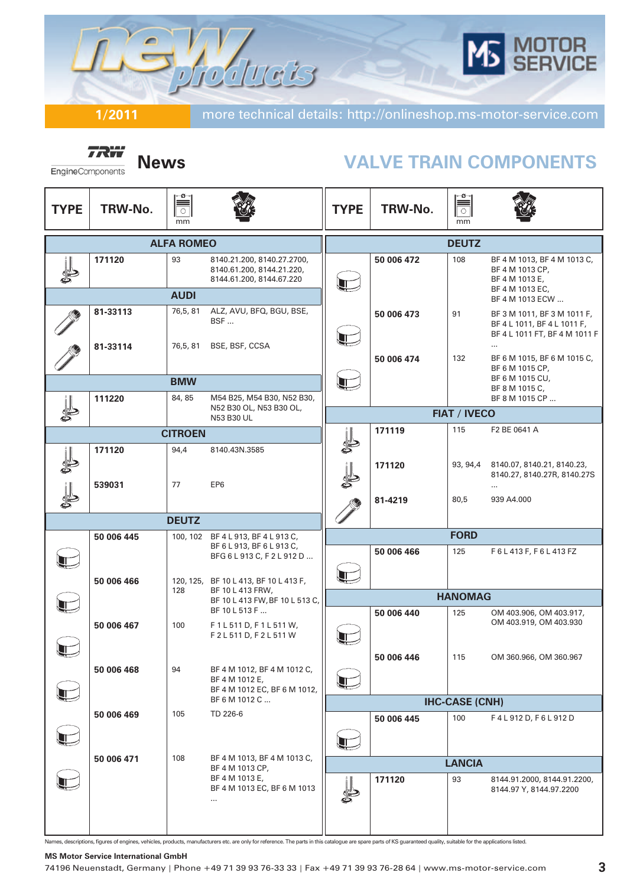

**TRW** EngineComponents

## **News VALVE TRAIN COMPONENTS**

| <b>TYPE</b> | TRW-No.    | ≌<br>$\circlearrowright$<br>mm |                                                                                     | <b>TYPE</b>  | TRW-No.    | $\begin{tabular}{ c c } \hline \multicolumn{1}{ c }{\multicolumn{1}{ c }{\multicolumn{1}{ c }{\multicolumn{1}{ c }{\multicolumn{1}{c }{\multicolumn{1}{c }{\multicolumn{1}{c }{\multicolumn{1}{c }{\multicolumn{1}{c }{\multicolumn{1}{c }{\multicolumn{1}{c }{\multicolumn{1}{c }{\multicolumn{1}{c }{\multicolumn{1}{c }{\multicolumn{1}{c }{\multicolumn{1}{c }{\multicolumn{1}{c }{\multicolumn{1}{c }{\multicolumn{1}{c }{\multicolumn{1}{c }{\$<br>mm |                                                                                                         |
|-------------|------------|--------------------------------|-------------------------------------------------------------------------------------|--------------|------------|-------------------------------------------------------------------------------------------------------------------------------------------------------------------------------------------------------------------------------------------------------------------------------------------------------------------------------------------------------------------------------------------------------------------------------------------------------------|---------------------------------------------------------------------------------------------------------|
|             |            | <b>ALFA ROMEO</b>              |                                                                                     |              |            | <b>DEUTZ</b>                                                                                                                                                                                                                                                                                                                                                                                                                                                |                                                                                                         |
|             | 171120     | 93<br><b>AUDI</b>              | 8140.21.200, 8140.27.2700,<br>8140.61.200, 8144.21.220,<br>8144.61.200, 8144.67.220 |              | 50 006 472 | 108                                                                                                                                                                                                                                                                                                                                                                                                                                                         | BF 4 M 1013, BF 4 M 1013 C,<br>BF 4 M 1013 CP,<br>BF 4 M 1013 E,<br>BF 4 M 1013 EC,                     |
|             | 81-33113   | 76,5,81                        | ALZ, AVU, BFQ, BGU, BSE,                                                            |              |            |                                                                                                                                                                                                                                                                                                                                                                                                                                                             | BF 4 M 1013 ECW                                                                                         |
|             | 81-33114   | 76,5,81                        | BSF<br>BSE, BSF, CCSA                                                               | T            | 50 006 473 | 91                                                                                                                                                                                                                                                                                                                                                                                                                                                          | BF 3 M 1011, BF 3 M 1011 F,<br>BF 4 L 1011, BF 4 L 1011 F,<br>BF 4 L 1011 FT, BF 4 M 1011 F<br>$\cdots$ |
|             |            |                                |                                                                                     |              | 50 006 474 | 132                                                                                                                                                                                                                                                                                                                                                                                                                                                         | BF 6 M 1015, BF 6 M 1015 C,<br>BF 6 M 1015 CP,                                                          |
|             |            | <b>BMW</b>                     |                                                                                     | J            |            |                                                                                                                                                                                                                                                                                                                                                                                                                                                             | BF 6 M 1015 CU,<br>BF 8 M 1015 C,                                                                       |
|             | 111220     | 84, 85                         | M54 B25, M54 B30, N52 B30,<br>N52 B30 OL, N53 B30 OL,                               |              |            |                                                                                                                                                                                                                                                                                                                                                                                                                                                             | BF 8 M 1015 CP                                                                                          |
|             |            |                                | N53 B30 UL                                                                          |              |            | <b>FIAT / IVECO</b>                                                                                                                                                                                                                                                                                                                                                                                                                                         |                                                                                                         |
|             |            | <b>CITROEN</b>                 |                                                                                     |              | 171119     | 115                                                                                                                                                                                                                                                                                                                                                                                                                                                         | F2 BE 0641 A                                                                                            |
|             | 171120     | 94,4                           | 8140.43N.3585                                                                       |              |            |                                                                                                                                                                                                                                                                                                                                                                                                                                                             |                                                                                                         |
|             | 539031     | 77                             | EP6                                                                                 |              | 171120     | 93, 94,4                                                                                                                                                                                                                                                                                                                                                                                                                                                    | 8140.07, 8140.21, 8140.23,<br>8140.27, 8140.27R, 8140.27S<br>$\cdots$                                   |
|             |            |                                |                                                                                     |              | 81-4219    | 80,5                                                                                                                                                                                                                                                                                                                                                                                                                                                        | 939 A4.000                                                                                              |
|             |            | <b>DEUTZ</b>                   |                                                                                     |              |            |                                                                                                                                                                                                                                                                                                                                                                                                                                                             |                                                                                                         |
|             | 50 006 445 |                                | 100, 102 BF 4 L 913, BF 4 L 913 C,                                                  |              |            | <b>FORD</b>                                                                                                                                                                                                                                                                                                                                                                                                                                                 |                                                                                                         |
|             |            |                                | BF 6 L 913, BF 6 L 913 C,<br>BFG 6 L 913 C, F 2 L 912 D                             | Ŧ            | 50 006 466 | 125                                                                                                                                                                                                                                                                                                                                                                                                                                                         | F6L413F, F6L413FZ                                                                                       |
|             | 50 006 466 | 128                            | 120, 125, BF 10 L 413, BF 10 L 413 F,<br>BF 10 L 413 FRW,                           |              |            |                                                                                                                                                                                                                                                                                                                                                                                                                                                             |                                                                                                         |
|             |            |                                | BF 10 L 413 FW, BF 10 L 513 C,<br>BF 10 L 513 F                                     |              |            | <b>HANOMAG</b><br>125                                                                                                                                                                                                                                                                                                                                                                                                                                       |                                                                                                         |
|             | 50 006 467 | 100                            | F1L511D, F1L511W,<br>F2L511D, F2L511W                                               |              | 50 006 440 |                                                                                                                                                                                                                                                                                                                                                                                                                                                             | OM 403.906, OM 403.917,<br>OM 403.919, OM 403.930                                                       |
|             |            |                                |                                                                                     |              | 50 006 446 | 115                                                                                                                                                                                                                                                                                                                                                                                                                                                         | OM 360.966, OM 360.967                                                                                  |
|             | 50 006 468 | 94                             | BF 4 M 1012, BF 4 M 1012 C,<br>BF 4 M 1012 E,<br>BF 4 M 1012 EC, BF 6 M 1012,       | T            |            |                                                                                                                                                                                                                                                                                                                                                                                                                                                             |                                                                                                         |
|             |            |                                | BF 6 M 1012 C                                                                       |              |            | <b>IHC-CASE (CNH)</b>                                                                                                                                                                                                                                                                                                                                                                                                                                       |                                                                                                         |
|             | 50 006 469 | 105                            | TD 226-6                                                                            | $\mathbb{L}$ | 50 006 445 | 100                                                                                                                                                                                                                                                                                                                                                                                                                                                         | F4L912D, F6L912D                                                                                        |
|             | 50 006 471 | 108                            | BF 4 M 1013, BF 4 M 1013 C,                                                         |              |            | <b>LANCIA</b>                                                                                                                                                                                                                                                                                                                                                                                                                                               |                                                                                                         |
|             |            |                                | BF 4 M 1013 CP,<br>BF 4 M 1013 E,<br>BF 4 M 1013 EC, BF 6 M 1013<br>$\cdots$        |              | 171120     | 93                                                                                                                                                                                                                                                                                                                                                                                                                                                          | 8144.91.2000, 8144.91.2200,<br>8144.97 Y, 8144.97.2200                                                  |
|             |            |                                |                                                                                     |              |            |                                                                                                                                                                                                                                                                                                                                                                                                                                                             |                                                                                                         |

Names, descriptions, figures of engines, vehicles, products, manufacturers etc. are only for reference. The parts in this catalogue are spare parts of KS guaranteed quality, suitable for the applications listed.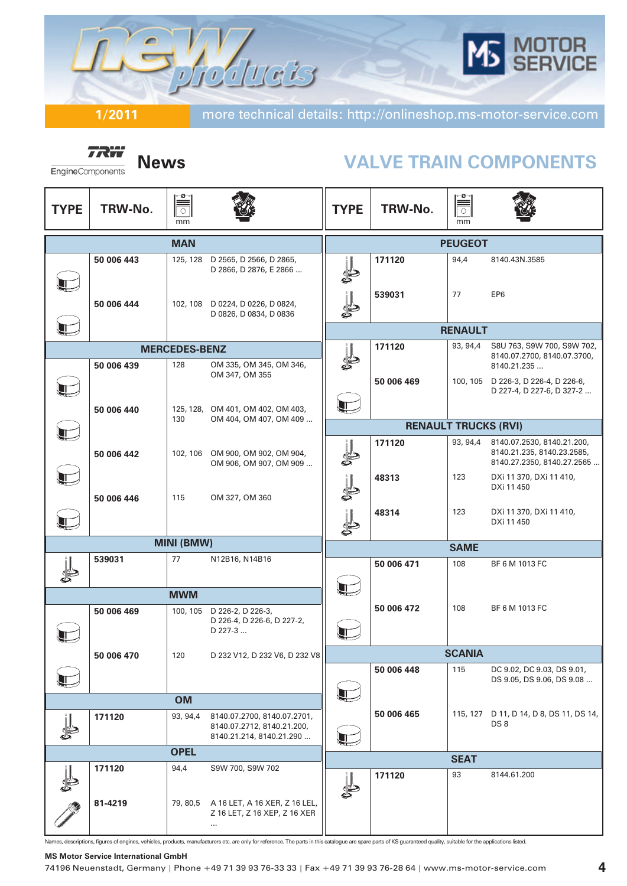

*TRW* EngineComponents

## **News VALVE TRAIN COMPONENTS**

| <b>TYPE</b> | TRW-No.    | ≌<br>$\circlearrowright$<br>mm |                                                                                       | <b>TYPE</b> | TRW-No.                     | ≡ّ<br>$\overline{\bigcirc}$<br>mm |                                                                                        |
|-------------|------------|--------------------------------|---------------------------------------------------------------------------------------|-------------|-----------------------------|-----------------------------------|----------------------------------------------------------------------------------------|
|             |            | <b>MAN</b>                     |                                                                                       |             |                             | <b>PEUGEOT</b>                    |                                                                                        |
|             | 50 006 443 | 125, 128                       | D 2565, D 2566, D 2865,<br>D 2866, D 2876, E 2866                                     | J           | 171120                      | 94,4                              | 8140.43N.3585                                                                          |
|             | 50 006 444 |                                | 102, 108 D 0224, D 0226, D 0824,<br>D 0826, D 0834, D 0836                            |             | 539031                      | 77                                | EP <sub>6</sub>                                                                        |
|             |            |                                |                                                                                       |             |                             | <b>RENAULT</b>                    |                                                                                        |
|             |            | <b>MERCEDES-BENZ</b>           |                                                                                       |             | 171120                      | 93, 94,4                          | S8U 763, S9W 700, S9W 702,                                                             |
|             | 50 006 439 | 128                            | OM 335, OM 345, OM 346,                                                               | S           |                             |                                   | 8140.07.2700, 8140.07.3700,<br>8140.21.235                                             |
|             |            |                                | OM 347, OM 355                                                                        |             | 50 006 469                  |                                   | 100, 105 D 226-3, D 226-4, D 226-6,<br>D 227-4, D 227-6, D 327-2                       |
|             | 50 006 440 |                                | 125, 128, OM 401, OM 402, OM 403,                                                     | Æ           |                             |                                   |                                                                                        |
|             |            | 130                            | OM 404, OM 407, OM 409                                                                |             | <b>RENAULT TRUCKS (RVI)</b> |                                   |                                                                                        |
|             | 50 006 442 |                                | 102, 106 OM 900, OM 902, OM 904,<br>OM 906, OM 907, OM 909                            |             | 171120                      | 93, 94,4                          | 8140.07.2530, 8140.21.200,<br>8140.21.235, 8140.23.2585,<br>8140.27.2350, 8140.27.2565 |
|             | 50 006 446 | 115                            | OM 327, OM 360                                                                        |             | 48313                       | 123                               | DXi 11 370, DXi 11 410,<br>DXi 11 450                                                  |
|             |            |                                |                                                                                       |             | 48314                       | 123                               | DXi 11 370, DXi 11 410,<br>DXi 11 450                                                  |
|             |            | <b>MINI (BMW)</b>              |                                                                                       |             |                             | <b>SAME</b>                       |                                                                                        |
|             | 539031     | 77                             | N12B16, N14B16                                                                        |             | 50 006 471                  | 108                               | BF 6 M 1013 FC                                                                         |
|             |            | <b>MWM</b>                     |                                                                                       | Æ           |                             |                                   |                                                                                        |
|             | 50 006 469 |                                | 100, 105 D 226-2, D 226-3,<br>D 226-4, D 226-6, D 227-2,<br>D 227-3                   | Æ           | 50 006 472                  | 108                               | BF 6 M 1013 FC                                                                         |
|             | 50 006 470 | 120                            | D 232 V12, D 232 V6, D 232 V8                                                         |             |                             | <b>SCANIA</b>                     |                                                                                        |
|             |            |                                |                                                                                       |             | 50 006 448                  | 115                               | DC 9.02, DC 9.03, DS 9.01,<br>DS 9.05, DS 9.06, DS 9.08                                |
|             |            | <b>OM</b>                      |                                                                                       | Î.          |                             |                                   |                                                                                        |
|             | 171120     | 93, 94,4                       | 8140.07.2700, 8140.07.2701,<br>8140.07.2712, 8140.21.200,<br>8140.21.214, 8140.21.290 | Æ           | 50 006 465                  |                                   | 115, 127 D 11, D 14, D 8, DS 11, DS 14,<br>DS8                                         |
|             |            | <b>OPEL</b>                    |                                                                                       |             |                             | <b>SEAT</b>                       |                                                                                        |
|             | 171120     | 94,4                           | S9W 700, S9W 702                                                                      |             | 171120                      | 93                                | 8144.61.200                                                                            |
|             | 81-4219    | 79, 80,5                       | A 16 LET, A 16 XER, Z 16 LEL,<br>Z 16 LET, Z 16 XEP, Z 16 XER<br>$\cdots$             |             |                             |                                   |                                                                                        |

Names, descriptions, figures of engines, vehicles, products, manufacturers etc. are only for reference. The parts in this catalogue are spare parts of KS guaranteed quality, suitable for the applications listed.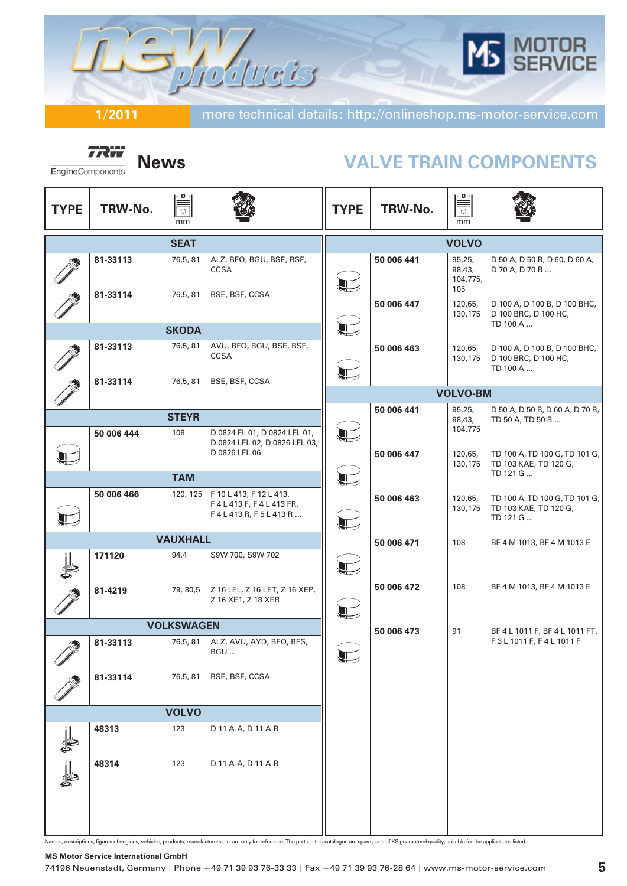# OTOR<br>ERVICE Rotuets

**1/2011** more technical details: http://onlineshop.ms-motor-service.com

**TRW** EngineComponents

## **News VALVE TRAIN COMPONENTS**

| <b>TYPE</b> | TRW-No.    | $\overline{\overline{\overline{\overline{\overline{C}}}}}$<br>mm |                                                                            | <b>TYPE</b>        | TRW-No.    | $\mathbb{R}$<br>mm                  |                                                                    |
|-------------|------------|------------------------------------------------------------------|----------------------------------------------------------------------------|--------------------|------------|-------------------------------------|--------------------------------------------------------------------|
|             |            | <b>SEAT</b>                                                      |                                                                            |                    |            | <b>VOLVO</b>                        |                                                                    |
|             | 81-33113   | 76,5,81                                                          | ALZ, BFQ, BGU, BSE, BSF,<br><b>CCSA</b>                                    | $\mathbf T$        | 50 006 441 | 95,25,<br>98,43,<br>104,775,<br>105 | D 50 A, D 50 B, D 60, D 60 A,<br>D 70 A, D 70 B                    |
|             | 81-33114   | 76,5, 81                                                         | BSE, BSF, CCSA                                                             |                    | 50 006 447 | 120,65,<br>130,175                  | D 100 A, D 100 B, D 100 BHC,<br>D 100 BRC, D 100 HC,<br>TD 100 A   |
|             |            | <b>SKODA</b>                                                     |                                                                            | Æ                  |            |                                     |                                                                    |
|             | 81-33113   | 76,5,81                                                          | AVU, BFQ, BGU, BSE, BSF,<br><b>CCSA</b>                                    | Ţ                  | 50 006 463 | 120,65,<br>130,175                  | D 100 A, D 100 B, D 100 BHC,<br>D 100 BRC, D 100 HC,<br>TD 100 A   |
|             | 81-33114   | 76,5,81                                                          | BSE, BSF, CCSA                                                             |                    |            | <b>VOLVO-BM</b>                     |                                                                    |
|             |            |                                                                  |                                                                            |                    | 50 006 441 | 95,25,                              | D 50 A, D 50 B, D 60 A, D 70 B,                                    |
|             | 50 006 444 | <b>STEYR</b><br>108                                              | D 0824 FL 01, D 0824 LFL 01,<br>D 0824 LFL 02, D 0826 LFL 03,              | $\hat{\mathbf{r}}$ |            | 98,43,<br>104,775                   | TD 50 A, TD 50 B                                                   |
|             |            |                                                                  | D 0826 LFL 06                                                              |                    | 50 006 447 | 120,65,<br>130,175                  | TD 100 A, TD 100 G, TD 101 G,<br>TD 103 KAE, TD 120 G,<br>TD 121 G |
|             |            | <b>TAM</b>                                                       |                                                                            | Æ                  |            |                                     |                                                                    |
|             | 50 006 466 |                                                                  | 120, 125 F 10 L 413, F 12 L 413,<br>F4L413F, F4L413FR,<br>F4L413R, F5L413R | $\mathbb{L}$       | 50 006 463 | 120,65,<br>130,175                  | TD 100 A, TD 100 G, TD 101 G,<br>TD 103 KAE, TD 120 G,<br>TD 121 G |
|             |            | <b>VAUXHALL</b>                                                  |                                                                            |                    | 50 006 471 | 108                                 | BF 4 M 1013, BF 4 M 1013 E                                         |
|             | 171120     | 94,4                                                             | S9W 700, S9W 702                                                           | T                  |            |                                     |                                                                    |
|             | 81-4219    |                                                                  | 79, 80,5     Z 16 LEL, Z 16 LET, Z 16 XEP,<br>Z 16 XE1, Z 18 XER           | T                  | 50 006 472 | 108                                 | BF 4 M 1013, BF 4 M 1013 E                                         |
|             |            | <b>VOLKSWAGEN</b>                                                |                                                                            |                    | 50 006 473 | 91                                  | BF 4 L 1011 F, BF 4 L 1011 FT,                                     |
| İ           | 81-33113   | 76,5, 81                                                         | ALZ, AVU, AYD, BFQ, BFS,<br>BGU                                            | T I                |            |                                     | F3L1011F, F4L1011F                                                 |
|             | 81-33114   | 76,5,81                                                          | BSE, BSF, CCSA                                                             |                    |            |                                     |                                                                    |
|             |            | <b>VOLVO</b>                                                     |                                                                            |                    |            |                                     |                                                                    |
|             | 48313      | 123                                                              | D 11 A-A, D 11 A-B                                                         |                    |            |                                     |                                                                    |
|             | 48314      | 123                                                              | D 11 A-A, D 11 A-B                                                         |                    |            |                                     |                                                                    |

Names, descriptions, figures of engines, vehicles, products, manufacturers etc. are only for reference. The parts in this catalogue are spare parts of KS guaranteed quality, suitable for the applications listed.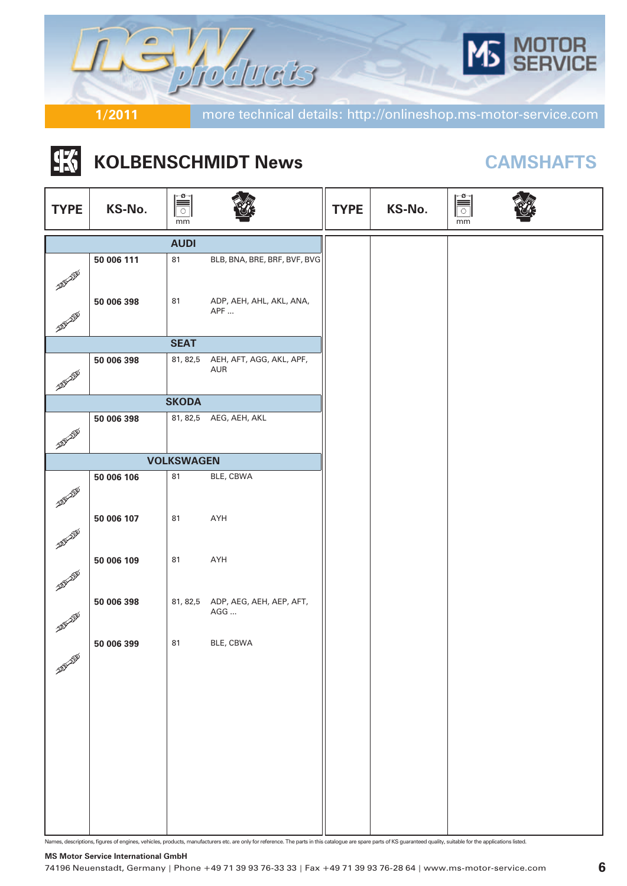

#### |张| **KOLBENSCHMIDT News CAMSHAFTS**

| <b>TYPE</b>                   | KS-No.     | mm                |                                          | <b>TYPE</b> | KS-No. | $\mathbb{R}$<br>mm |  |
|-------------------------------|------------|-------------------|------------------------------------------|-------------|--------|--------------------|--|
|                               |            | <b>AUDI</b>       |                                          |             |        |                    |  |
| <b>AND ALLE</b>               | 50 006 111 | 81                | BLB, BNA, BRE, BRF, BVF, BVG             |             |        |                    |  |
| <b>ARD ADD</b>                | 50 006 398 | 81                | ADP, AEH, AHL, AKL, ANA,<br>APF          |             |        |                    |  |
|                               |            |                   |                                          |             |        |                    |  |
|                               |            | <b>SEAT</b>       |                                          |             |        |                    |  |
| <b>ADDEN DID</b>              | 50 006 398 | 81, 82,5          | AEH, AFT, AGG, AKL, APF,<br>AUR          |             |        |                    |  |
|                               |            | <b>SKODA</b>      |                                          |             |        |                    |  |
| <b>ELEVATOR</b>               | 50 006 398 |                   | 81, 82,5 AEG, AEH, AKL                   |             |        |                    |  |
|                               |            | <b>VOLKSWAGEN</b> |                                          |             |        |                    |  |
|                               | 50 006 106 | 81                | BLE, CBWA                                |             |        |                    |  |
| <b>ARAWAYE</b>                | 50 006 107 | 81                | AYH                                      |             |        |                    |  |
| <b>AND AND</b><br><b>ADDE</b> | 50 006 109 | 81                | AYH                                      |             |        |                    |  |
| <b>ARD AND</b>                | 50 006 398 |                   | 81, 82,5 ADP, AEG, AEH, AEP, AFT,<br>AGG |             |        |                    |  |
| <b>ADDINERED</b>              | 50 006 399 | 81                | BLE, CBWA                                |             |        |                    |  |
|                               |            |                   |                                          |             |        |                    |  |

Names, descriptions, figures of engines, vehicles, products, manufacturers etc. are only for reference. The parts in this catalogue are spare parts of KS guaranteed quality, suitable for the applications listed.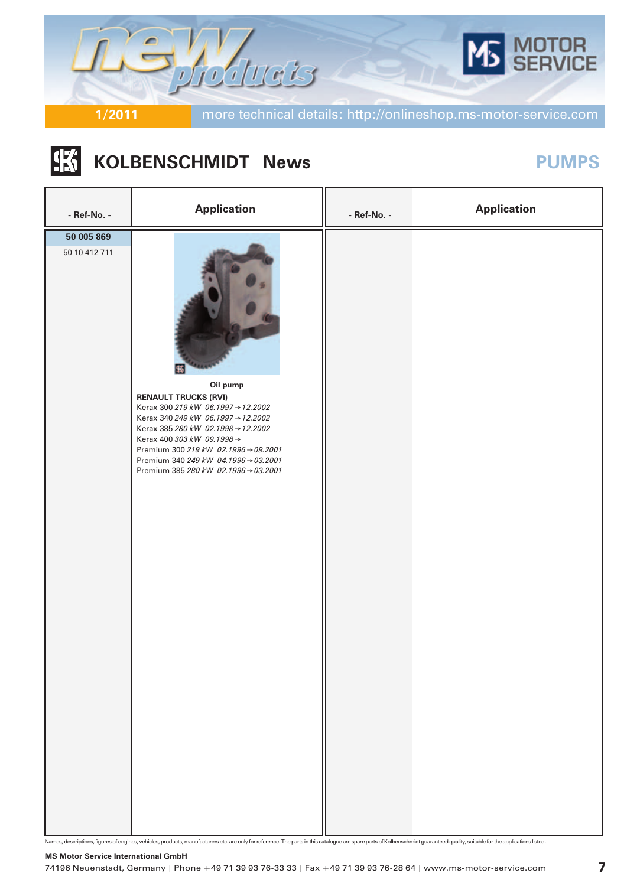

#### **IK KOLBENSCHMIDT** News **PUMPS**

| - Ref-No. -                 | <b>Application</b>                                                                                                                                                                                                                                                                                              | - Ref-No. - | <b>Application</b> |
|-----------------------------|-----------------------------------------------------------------------------------------------------------------------------------------------------------------------------------------------------------------------------------------------------------------------------------------------------------------|-------------|--------------------|
| 50 005 869<br>50 10 412 711 | Oil pump<br><b>RENAULT TRUCKS (RVI)</b><br>Kerax 300 219 kW 06.1997 → 12.2002<br>Kerax 340 249 kW 06.1997 → 12.2002<br>Kerax 385 280 kW 02.1998 → 12.2002<br>Kerax 400 303 kW 09.1998 →<br>Premium 300 219 kW 02.1996 → 09.2001<br>Premium 340 249 kW 04.1996 → 03.2001<br>Premium 385 280 kW 02.1996 → 03.2001 |             |                    |

Names, descriptions, figures of engines, vehicles, products, manufacturers etc. are only for reference. The parts in this catalogue are spare parts of Kolbenschmidt guaranteed quality, suitable for the applications listed.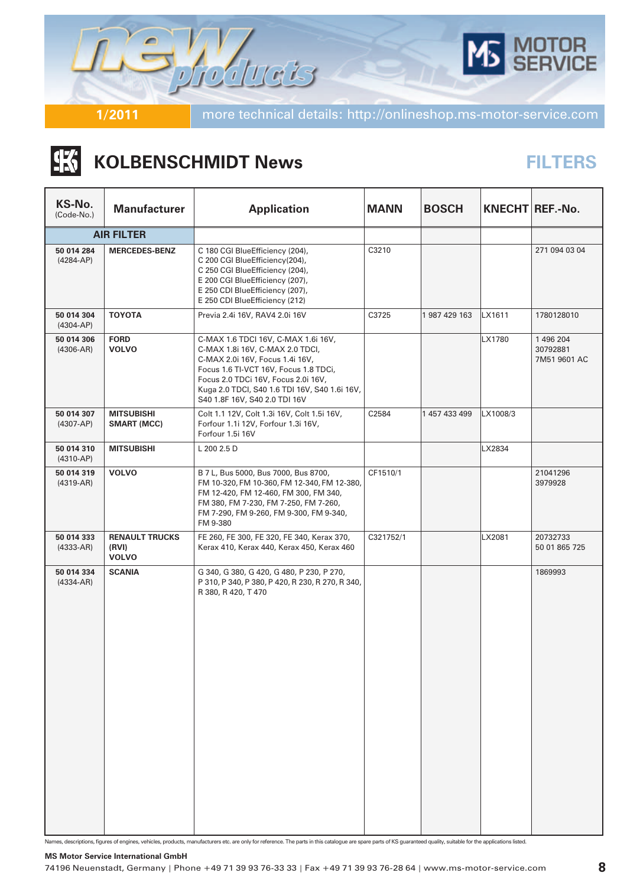

#### |张 **KOLBENSCHMIDT News**

## **FILTERS**

| KS-No.<br>(Code-No.)        | <b>Manufacturer</b>                            | <b>Application</b>                                                                                                                                                                                                                                                          | <b>MANN</b> | <b>BOSCH</b>  |          | KNECHT REF.-No.                       |
|-----------------------------|------------------------------------------------|-----------------------------------------------------------------------------------------------------------------------------------------------------------------------------------------------------------------------------------------------------------------------------|-------------|---------------|----------|---------------------------------------|
|                             | <b>AIR FILTER</b>                              |                                                                                                                                                                                                                                                                             |             |               |          |                                       |
| 50 014 284<br>$(4284-AP)$   | <b>MERCEDES-BENZ</b>                           | C 180 CGI BlueEfficiency (204),<br>C 200 CGI BlueEfficiency(204),<br>C 250 CGI BlueEfficiency (204),<br>E 200 CGI BlueEfficiency (207),<br>E 250 CDI BlueEfficiency (207),<br>E 250 CDI BlueEfficiency (212)                                                                | C3210       |               |          | 271 094 03 04                         |
| 50 014 304<br>$(4304-AP)$   | <b>TOYOTA</b>                                  | Previa 2.4i 16V, RAV4 2.0i 16V                                                                                                                                                                                                                                              | C3725       | 1 987 429 163 | LX1611   | 1780128010                            |
| 50 014 306<br>$(4306-AR)$   | <b>FORD</b><br><b>VOLVO</b>                    | C-MAX 1.6 TDCI 16V, C-MAX 1.6i 16V,<br>C-MAX 1.8i 16V, C-MAX 2.0 TDCI,<br>C-MAX 2.0i 16V, Focus 1.4i 16V,<br>Focus 1.6 TI-VCT 16V, Focus 1.8 TDCi,<br>Focus 2.0 TDCi 16V, Focus 2.0i 16V,<br>Kuga 2.0 TDCI, S40 1.6 TDI 16V, S40 1.6i 16V,<br>S40 1.8F 16V, S40 2.0 TDI 16V |             |               | LX1780   | 1 496 204<br>30792881<br>7M51 9601 AC |
| 50 014 307<br>$(4307-AP)$   | <b>MITSUBISHI</b><br><b>SMART (MCC)</b>        | Colt 1.1 12V, Colt 1.3i 16V, Colt 1.5i 16V,<br>Forfour 1.1i 12V, Forfour 1.3i 16V,<br>Forfour 1.5i 16V                                                                                                                                                                      | C2584       | 1 457 433 499 | LX1008/3 |                                       |
| 50 014 310<br>$(4310-AP)$   | <b>MITSUBISHI</b>                              | L 200 2.5 D                                                                                                                                                                                                                                                                 |             |               | LX2834   |                                       |
| 50 014 319<br>$(4319-AR)$   | <b>VOLVO</b>                                   | B 7 L, Bus 5000, Bus 7000, Bus 8700,<br>FM 10-320, FM 10-360, FM 12-340, FM 12-380,<br>FM 12-420, FM 12-460, FM 300, FM 340,<br>FM 380, FM 7-230, FM 7-250, FM 7-260,<br>FM 7-290, FM 9-260, FM 9-300, FM 9-340,<br>FM 9-380                                                | CF1510/1    |               |          | 21041296<br>3979928                   |
| 50 014 333<br>$(4333 - AR)$ | <b>RENAULT TRUCKS</b><br>(RVI)<br><b>VOLVO</b> | FE 260, FE 300, FE 320, FE 340, Kerax 370,<br>Kerax 410, Kerax 440, Kerax 450, Kerax 460                                                                                                                                                                                    | C321752/1   |               | LX2081   | 20732733<br>50 01 865 725             |
| 50 014 334<br>$(4334 - AR)$ | <b>SCANIA</b>                                  | G 340, G 380, G 420, G 480, P 230, P 270,<br>P 310, P 340, P 380, P 420, R 230, R 270, R 340,<br>R 380, R 420, T 470                                                                                                                                                        |             |               |          | 1869993                               |

Names, descriptions, figures of engines, vehicles, products, manufacturers etc. are only for reference. The parts in this catalogue are spare parts of KS guaranteed quality, suitable for the applications listed.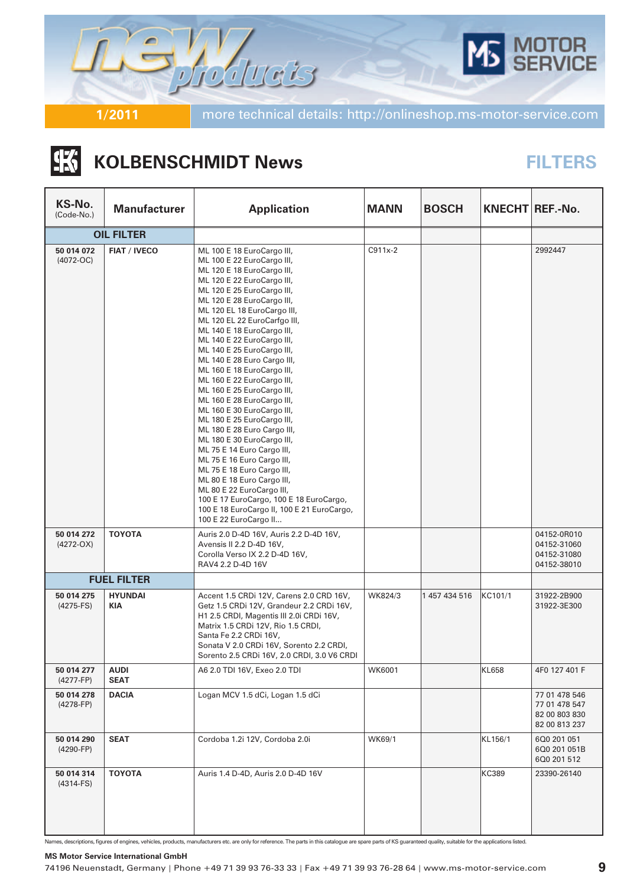

### |张 **KOLBENSCHMIDT News**

## **FILTERS**

| KS-No.<br>(Code-No.)        | <b>Manufacturer</b>        | <b>Application</b>                                                                                                                                                                                                                                                                                                                                                                                                                                                                                                                                                                                                                                                                                                                                                                                                                                                                               | <b>MANN</b> | <b>BOSCH</b>  |         | KNECHT REF.-No.                                                  |
|-----------------------------|----------------------------|--------------------------------------------------------------------------------------------------------------------------------------------------------------------------------------------------------------------------------------------------------------------------------------------------------------------------------------------------------------------------------------------------------------------------------------------------------------------------------------------------------------------------------------------------------------------------------------------------------------------------------------------------------------------------------------------------------------------------------------------------------------------------------------------------------------------------------------------------------------------------------------------------|-------------|---------------|---------|------------------------------------------------------------------|
|                             | <b>OIL FILTER</b>          |                                                                                                                                                                                                                                                                                                                                                                                                                                                                                                                                                                                                                                                                                                                                                                                                                                                                                                  |             |               |         |                                                                  |
| 50 014 072<br>$(4072-OC)$   | <b>FIAT / IVECO</b>        | ML 100 E 18 EuroCargo III,<br>ML 100 E 22 EuroCargo III,<br>ML 120 E 18 EuroCargo III,<br>ML 120 E 22 EuroCargo III,<br>ML 120 E 25 EuroCargo III,<br>ML 120 E 28 EuroCargo III,<br>ML 120 EL 18 EuroCargo III,<br>ML 120 EL 22 EuroCarfgo III,<br>ML 140 E 18 EuroCargo III,<br>ML 140 E 22 EuroCargo III,<br>ML 140 E 25 EuroCargo III,<br>ML 140 E 28 Euro Cargo III,<br>ML 160 E 18 EuroCargo III,<br>ML 160 E 22 EuroCargo III,<br>ML 160 E 25 EuroCargo III,<br>ML 160 E 28 EuroCargo III,<br>ML 160 E 30 EuroCargo III,<br>ML 180 E 25 EuroCargo III,<br>ML 180 E 28 Euro Cargo III,<br>ML 180 E 30 EuroCargo III,<br>ML 75 E 14 Euro Cargo III,<br>ML 75 E 16 Euro Cargo III,<br>ML 75 E 18 Euro Cargo III,<br>ML 80 E 18 Euro Cargo III,<br>ML 80 E 22 EuroCargo III,<br>100 E 17 EuroCargo, 100 E 18 EuroCargo,<br>100 E 18 EuroCargo II, 100 E 21 EuroCargo,<br>100 E 22 EuroCargo II | C911x-2     |               |         | 2992447                                                          |
| 50 014 272<br>$(4272-OX)$   | <b>TOYOTA</b>              | Auris 2.0 D-4D 16V, Auris 2.2 D-4D 16V,<br>Avensis II 2.2 D-4D 16V,<br>Corolla Verso IX 2.2 D-4D 16V,<br>RAV4 2.2 D-4D 16V                                                                                                                                                                                                                                                                                                                                                                                                                                                                                                                                                                                                                                                                                                                                                                       |             |               |         | 04152-0R010<br>04152-31060<br>04152-31080<br>04152-38010         |
|                             | <b>FUEL FILTER</b>         |                                                                                                                                                                                                                                                                                                                                                                                                                                                                                                                                                                                                                                                                                                                                                                                                                                                                                                  |             |               |         |                                                                  |
| 50 014 275<br>$(4275-FS)$   | <b>HYUNDAI</b><br>KIA      | Accent 1.5 CRDi 12V, Carens 2.0 CRD 16V,<br>Getz 1.5 CRDi 12V, Grandeur 2.2 CRDi 16V,<br>H1 2.5 CRDI, Magentis III 2.0i CRDi 16V,<br>Matrix 1.5 CRDi 12V, Rio 1.5 CRDI,<br>Santa Fe 2.2 CRDi 16V,<br>Sonata V 2.0 CRDi 16V, Sorento 2.2 CRDI,<br>Sorento 2.5 CRDi 16V, 2.0 CRDI, 3.0 V6 CRDI                                                                                                                                                                                                                                                                                                                                                                                                                                                                                                                                                                                                     | WK824/3     | 1 457 434 516 | KC101/1 | 31922-2B900<br>31922-3E300                                       |
| 50 014 277<br>$(4277 - FP)$ | <b>AUDI</b><br><b>SEAT</b> | A6 2.0 TDI 16V, Exeo 2.0 TDI                                                                                                                                                                                                                                                                                                                                                                                                                                                                                                                                                                                                                                                                                                                                                                                                                                                                     | WK6001      |               | KL658   | 4F0 127 401 F                                                    |
| 50 014 278<br>(4278-FP)     | <b>DACIA</b>               | Logan MCV 1.5 dCi, Logan 1.5 dCi                                                                                                                                                                                                                                                                                                                                                                                                                                                                                                                                                                                                                                                                                                                                                                                                                                                                 |             |               |         | 77 01 478 546<br>77 01 478 547<br>82 00 803 830<br>82 00 813 237 |
| 50 014 290<br>$(4290-FP)$   | <b>SEAT</b>                | Cordoba 1.2i 12V, Cordoba 2.0i                                                                                                                                                                                                                                                                                                                                                                                                                                                                                                                                                                                                                                                                                                                                                                                                                                                                   | WK69/1      |               | KL156/1 | 6Q0 201 051<br>6Q0 201 051B<br>6Q0 201 512                       |
| 50 014 314<br>$(4314-FS)$   | <b>TOYOTA</b>              | Auris 1.4 D-4D, Auris 2.0 D-4D 16V                                                                                                                                                                                                                                                                                                                                                                                                                                                                                                                                                                                                                                                                                                                                                                                                                                                               |             |               | KC389   | 23390-26140                                                      |

Names, descriptions, figures of engines, vehicles, products, manufacturers etc. are only for reference. The parts in this catalogue are spare parts of KS guaranteed quality, suitable for the applications listed.